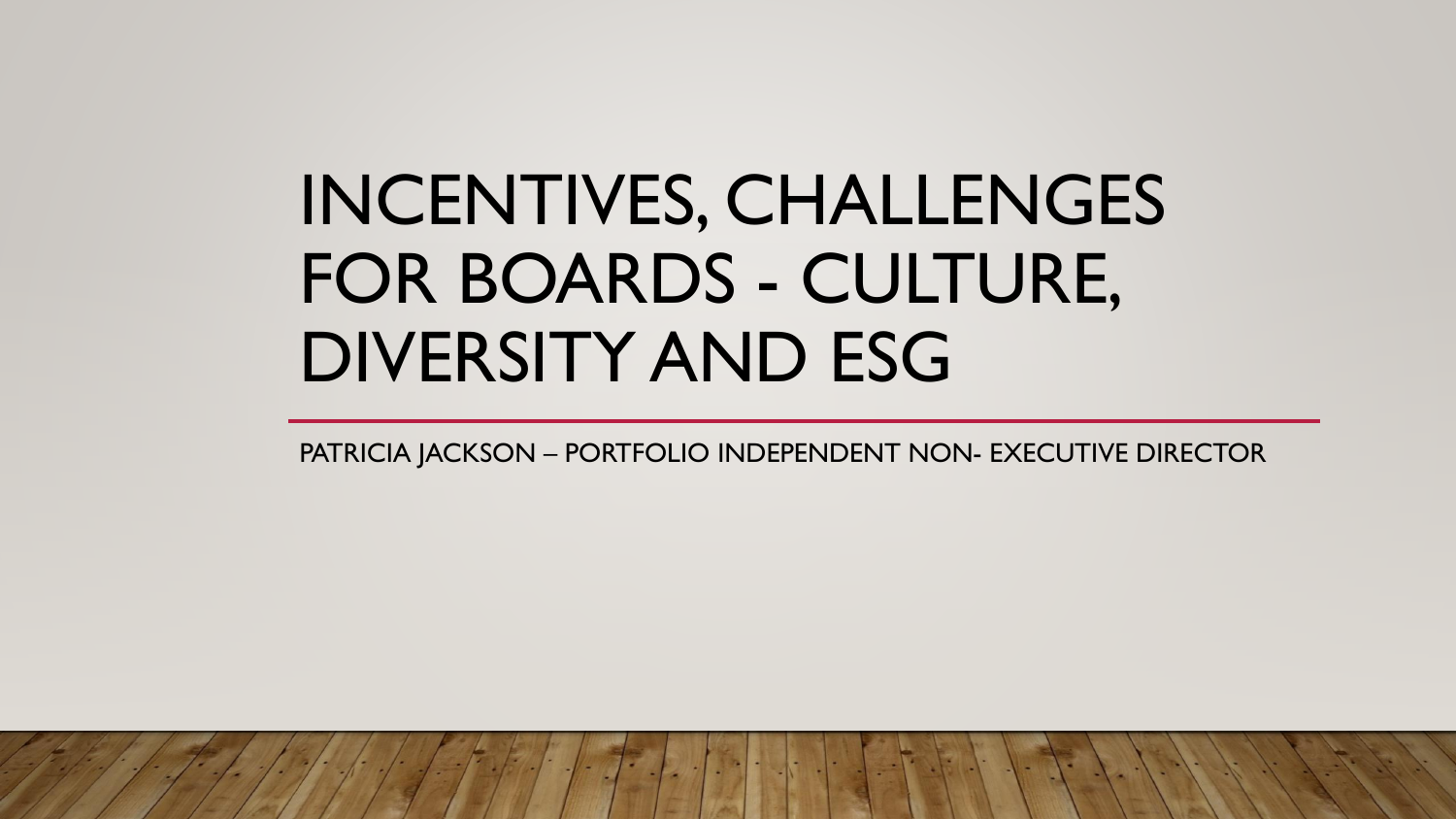# INCENTIVES, CHALLENGES FOR BOARDS - CULTURE, DIVERSITY AND ESG

PATRICIA JACKSON – PORTFOLIO INDEPENDENT NON- EXECUTIVE DIRECTOR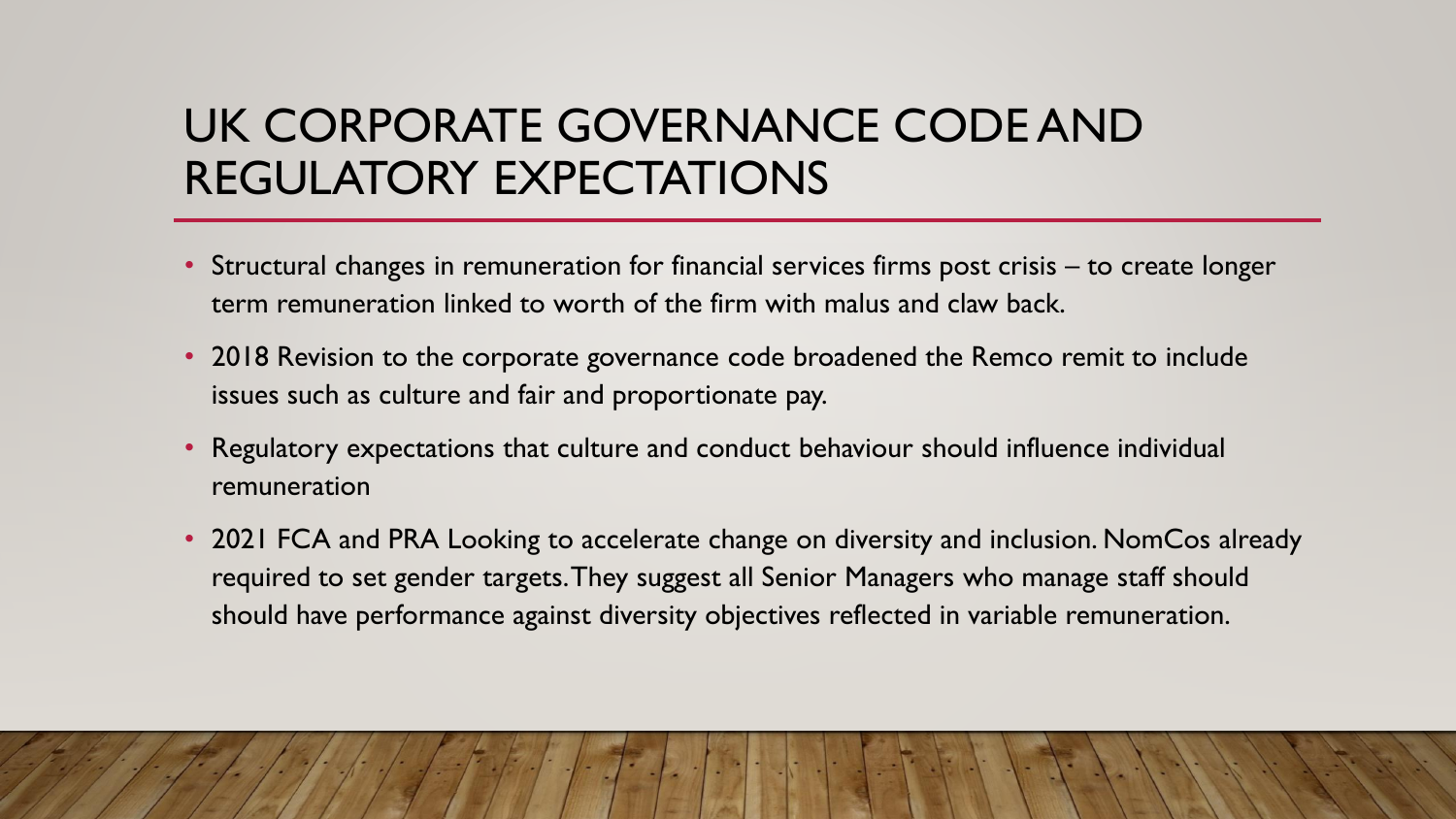## UK CORPORATE GOVERNANCE CODE AND REGULATORY EXPECTATIONS

- Structural changes in remuneration for financial services firms post crisis to create longer term remuneration linked to worth of the firm with malus and claw back.
- 2018 Revision to the corporate governance code broadened the Remco remit to include issues such as culture and fair and proportionate pay.
- Regulatory expectations that culture and conduct behaviour should influence individual remuneration
- 2021 FCA and PRA Looking to accelerate change on diversity and inclusion. NomCos already required to set gender targets. They suggest all Senior Managers who manage staff should should have performance against diversity objectives reflected in variable remuneration.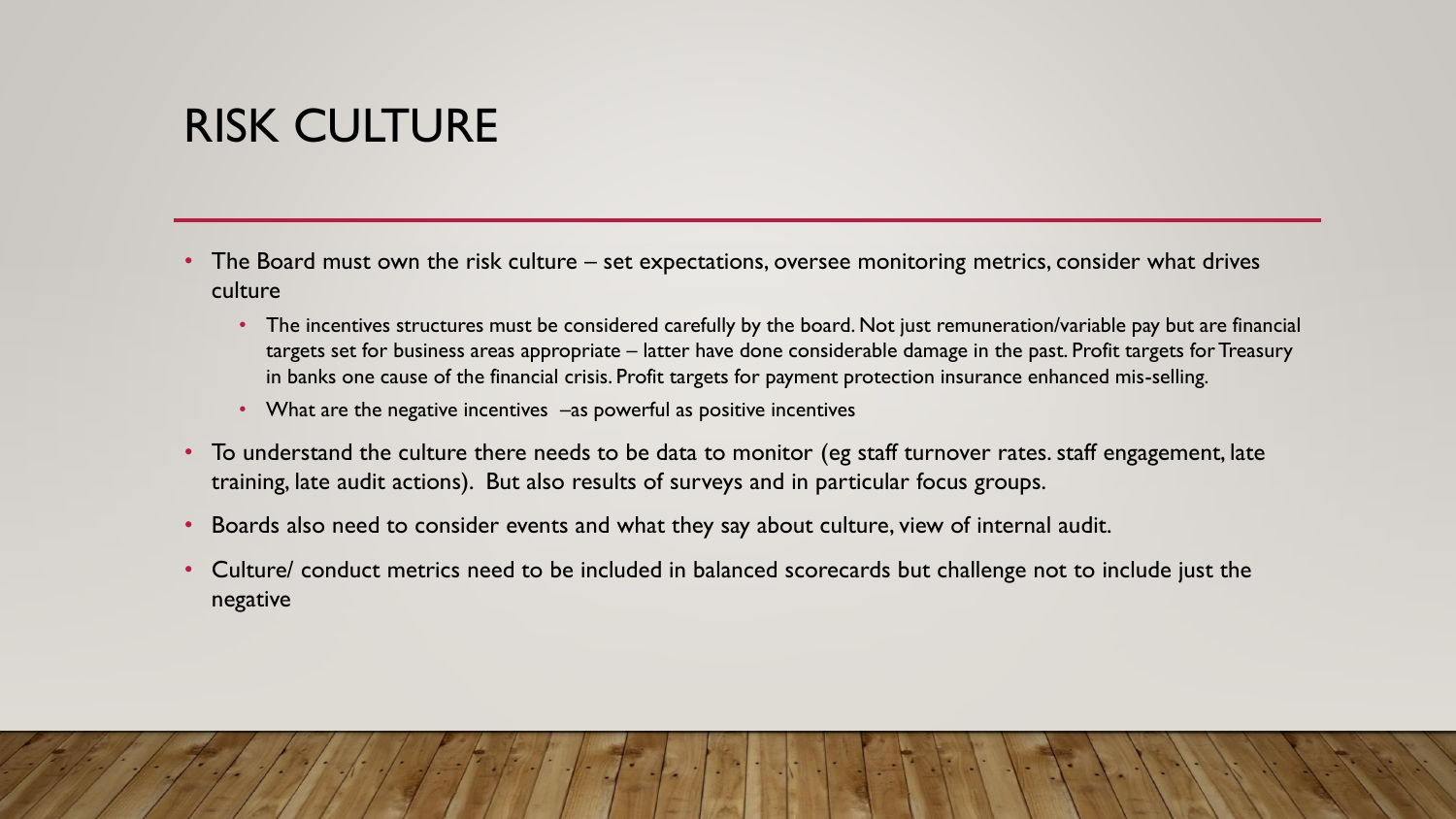## RISK CULTURE

- The Board must own the risk culture set expectations, oversee monitoring metrics, consider what drives culture
	- The incentives structures must be considered carefully by the board. Not just remuneration/variable pay but are financial targets set for business areas appropriate – latter have done considerable damage in the past. Profit targets for Treasury in banks one cause of the financial crisis. Profit targets for payment protection insurance enhanced mis-selling.
	- What are the negative incentives –as powerful as positive incentives
- To understand the culture there needs to be data to monitor (eg staff turnover rates. staff engagement, late training, late audit actions). But also results of surveys and in particular focus groups.
- Boards also need to consider events and what they say about culture, view of internal audit.
- Culture/ conduct metrics need to be included in balanced scorecards but challenge not to include just the negative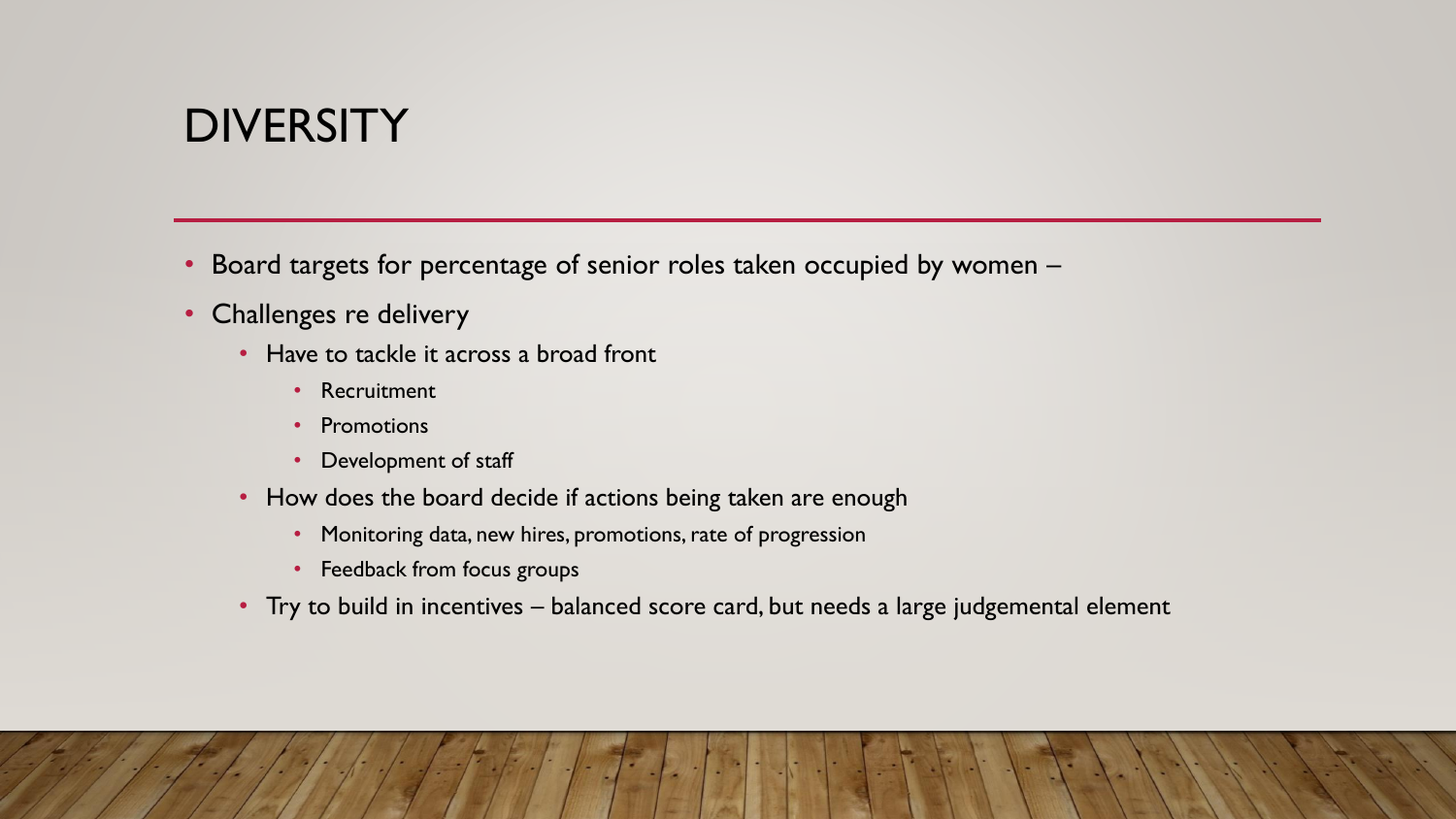#### **DIVERSITY**

- Board targets for percentage of senior roles taken occupied by women –
- Challenges re delivery
	- Have to tackle it across a broad front
		- Recruitment
		- Promotions
		- Development of staff
	- How does the board decide if actions being taken are enough
		- Monitoring data, new hires, promotions, rate of progression
		- Feedback from focus groups
	- Try to build in incentives balanced score card, but needs a large judgemental element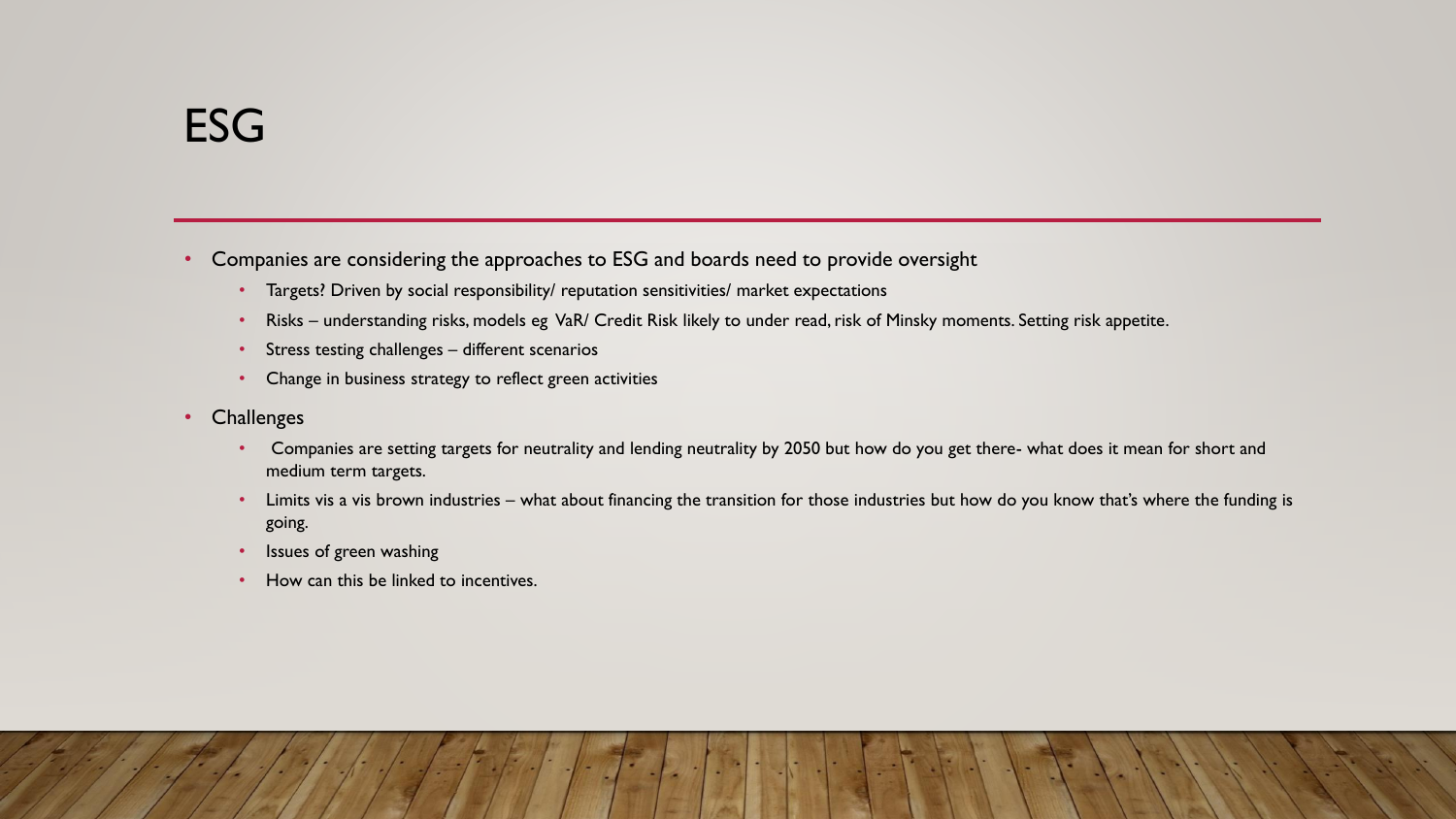- Companies are considering the approaches to ESG and boards need to provide oversight
	- Targets? Driven by social responsibility/ reputation sensitivities/ market expectations
	- Risks understanding risks, models eg VaR/ Credit Risk likely to under read, risk of Minsky moments. Setting risk appetite.
	- Stress testing challenges different scenarios
	- Change in business strategy to reflect green activities
- Challenges
	- Companies are setting targets for neutrality and lending neutrality by 2050 but how do you get there- what does it mean for short and medium term targets.
	- Limits vis a vis brown industries what about financing the transition for those industries but how do you know that's where the funding is going.
	- Issues of green washing
	- How can this be linked to incentives.